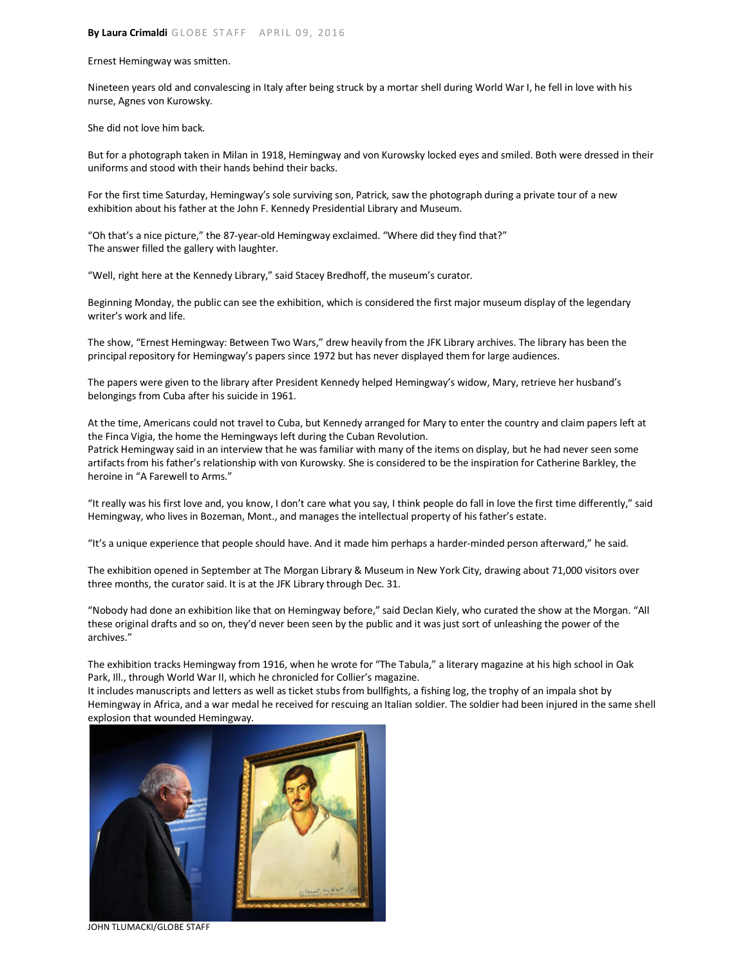Ernest Hemingway was smitten.

Nineteen years old and convalescing in Italy after being struck by a mortar shell during World War I, he fell in love with his nurse, Agnes von Kurowsky.

She did not love him back.

But for a photograph taken in Milan in 1918, Hemingway and von Kurowsky locked eyes and smiled. Both were dressed in their uniforms and stood with their hands behind their backs.

For the first time Saturday, Hemingway's sole surviving son, Patrick, saw the photograph during a private tour of a new exhibition about his father at the John F. Kennedy Presidential Library and Museum.

"Oh that's a nice picture," the 87-year-old Hemingway exclaimed. "Where did they find that?" The answer filled the gallery with laughter.

"Well, right here at the Kennedy Library," said Stacey Bredhoff, the museum's curator.

Beginning Monday, the public can see the exhibition, which is considered the first major museum display of the legendary writer's work and life.

The show, "Ernest Hemingway: Between Two Wars," drew heavily from the JFK Library archives. The library has been the principal repository for Hemingway's papers since 1972 but has never displayed them for large audiences.

The papers were given to the library after President Kennedy helped Hemingway's widow, Mary, retrieve her husband's belongings from Cuba after his suicide in 1961.

At the time, Americans could not travel to Cuba, but Kennedy arranged for Mary to enter the country and claim papers left at the Finca Vigia, the home the Hemingways left during the Cuban Revolution. Patrick Hemingway said in an interview that he was familiar with many of the items on display, but he had never seen some artifacts from his father's relationship with von Kurowsky. She is considered to be the inspiration for Catherine Barkley, the heroine in "A Farewell to Arms."

"It really was his first love and, you know, I don't care what you say, I think people do fall in love the first time differently," said Hemingway, who lives in Bozeman, Mont., and manages the intellectual property of his father's estate.

"It's a unique experience that people should have. And it made him perhaps a harder-minded person afterward," he said.

The exhibition opened in September at The Morgan Library & Museum in New York City, drawing about 71,000 visitors over three months, the curator said. It is at the JFK Library through Dec. 31.

"Nobody had done an exhibition like that on Hemingway before," said Declan Kiely, who curated the show at the Morgan. "All these original drafts and so on, they'd never been seen by the public and it was just sort of unleashing the power of the archives."

The exhibition tracks Hemingway from 1916, when he wrote for "The Tabula," a literary magazine at his high school in Oak Park, Ill., through World War II, which he chronicled for Collier's magazine.

It includes manuscripts and letters as well as ticket stubs from bullfights, a fishing log, the trophy of an impala shot by Hemingway in Africa, and a war medal he received for rescuing an Italian soldier. The soldier had been injured in the same shell explosion that wounded Hemingway.



JOHN TLUMACKI/GLOBE STAFF